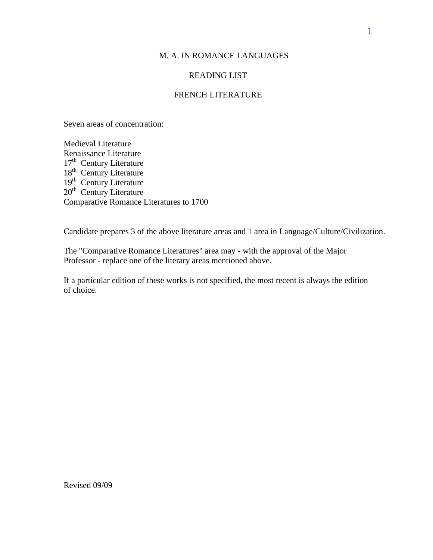### M. A. IN ROMANCE LANGUAGES

### READING LIST

# FRENCH LITERATURE

Seven areas of concentration:

Medieval Literature Renaissance Literature 17<sup>th</sup> Century Literature 18<sup>th</sup> Century Literature 19<sup>th</sup> Century Literature 20<sup>th</sup> Century Literature Comparative Romance Literatures to 1700

Candidate prepares 3 of the above literature areas and 1 area in Language/Culture/Civilization.

The "Comparative Romance Literatures" area may - with the approval of the Major Professor - replace one of the literary areas mentioned above.

If a particular edition of these works is not specified, the most recent is always the edition of choice.

Revised 09/09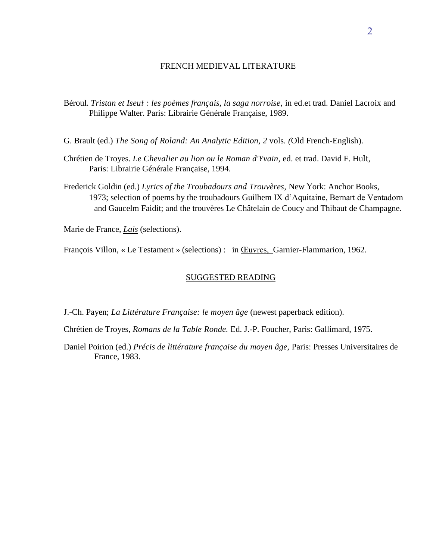### FRENCH MEDIEVAL LITERATURE

Béroul. *Tristan et Iseut : les poèmes français, la saga norroise,* in [ed.et](http://ed.et/) trad. Daniel Lacroix and Philippe Walter. Paris: Librairie Générale Française, 1989.

G. Brault (ed.) *The Song of Roland: An Analytic Edition, 2* vols*. (*Old French-English).

- Chrétien de Troyes. *Le Chevalier au lion ou le Roman d'Yvain*, [ed. et](http://ed.et/) trad. David F. Hult, Paris: Librairie Générale Française, 1994.
- Frederick Goldin (ed.) *Lyrics of the Troubadours and Trouvères,* New York: Anchor Books, 1973; selection of poems by the troubadours Guilhem IX d'Aquitaine, Bernart de Ventadorn and Gaucelm Faidit; and the trouvères Le Châtelain de Coucy and Thibaut de Champagne.

Marie de France, *Lais* (selections).

François Villon, « Le Testament » (selections) : in **Euvres**, Garnier-Flammarion, 1962.

#### SUGGESTED READING

J.-Ch. Payen; *La Littérature Française: le moyen âge* (newest paperback edition).

Chrétien de Troyes, *Romans de la Table Ronde.* Ed. J.-P. Foucher, Paris: Gallimard, 1975.

Daniel Poirion (ed.) *Précis de littérature française du moyen âge,* Paris: Presses Universitaires de France, 1983.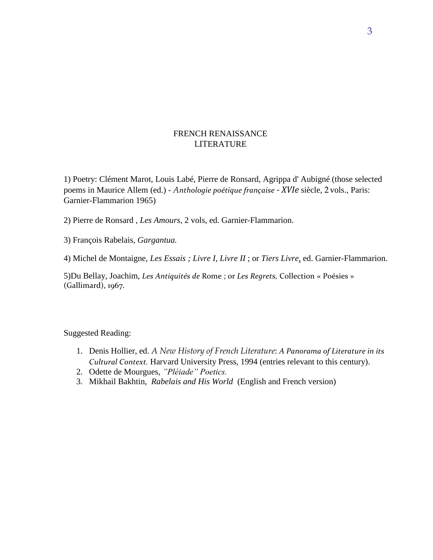# FRENCH RENAISSANCE LITERATURE

1) Poetry: Clément Marot, Louis Labé, Pierre de Ronsard, Agrippa d' Aubigné (those selected poems in Maurice Allem (ed.) - *Anthologie poétique française - XVIe* siècle, 2 vols., Paris: Garnier-Flammarion 1965)

2) Pierre de Ronsard , *Les Amours*, 2 vols, ed. Garnier-Flammarion.

3) François Rabelais, *Gargantua.*

4) Michel de Montaigne, *Les Essais ; Livre I, Livre II* ; or *Tiers Livre*, ed. Garnier-Flammarion.

5)Du Bellay, Joachim, *Les Antiquités de* Rome ; or *Les Regrets,* Collection « Poésies » (Gallimard), 1967.

Suggested Reading:

- 1. Denis Hollier, ed. *A New History of French Literature*: *A Panorama of Literature in its Cultural Context.* Harvard University Press, 1994 (entries relevant to this century).
- 2. Odette de Mourgues, *"Pléiade" Poetics.*
- 3. Mikhail Bakhtin, *Rabelais and His World* (English and French version)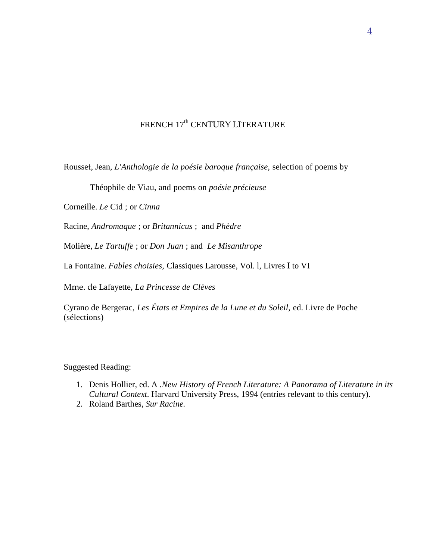# FRENCH 17<sup>th</sup> CENTURY LITERATURE

Rousset, Jean, *L'Anthologie de la poésie baroque française,* selection of poems by

Théophile de Viau, and poems on *poésie précieuse*

Corneille. *Le* Cid ; or *Cinna*

Racine, *Andromaque* ; or *Britannicus* ; and *Phèdre* 

Molière, *Le Tartuffe* ; or *Don Juan* ; and *Le Misanthrope* 

La Fontaine. *Fables choisies,* Classiques Larousse, Vol. l, Livres I to VI

Mme. de Lafayette, *La Princesse de Clèves*

Cyrano de Bergerac, *Les États et Empires de la Lune et du Soleil,* ed. Livre de Poche (sélections)

Suggested Reading:

- 1. Denis Hollier, ed. A *.New History of French Literature: A Panorama of Literature in its Cultural Context*. Harvard University Press, 1994 (entries relevant to this century).
- 2. Roland Barthes, *Sur Racine.*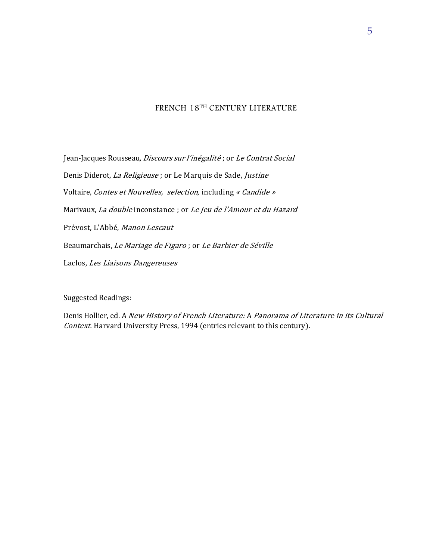### FRENCH 18TH CENTURY LITERATURE

Jean-Jacques Rousseau, Discours sur l'inégalité ; or Le Contrat Social Denis Diderot, La Religieuse ; or Le Marquis de Sade, Justine Voltaire, Contes et Nouvelles, selection, including « Candide » Marivaux, La double inconstance ; or Le Jeu de l'Amour et du Hazard Prévost, L'Abbé, Manon Lescaut Beaumarchais, Le Mariage de Figaro ; or Le Barbier de Séville Laclos, Les Liaisons Dangereuses

Suggested Readings:

Denis Hollier, ed. A New History of French Literature: A Panorama of Literature in its Cultural Context. Harvard University Press, 1994 (entries relevant to this century).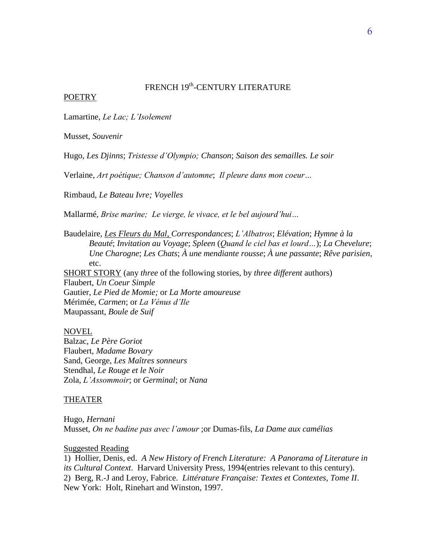# FRENCH 19<sup>th</sup>-CENTURY LITERATURE

#### POETRY

Lamartine, *Le Lac; L'Isolement* 

Musset, *Souvenir* 

Hugo, *Les Djinns*; *Tristesse d'Olympio; Chanson*; *Saison des semailles. Le soir*

Verlaine, *Art poétique; Chanson d'automne*; *Il pleure dans mon coeur…*

Rimbaud, *Le Bateau Ivre; Voyelles*

Mallarmé, *Brise marine; Le vierge, le vivace, et le bel aujourd'hui…*

Baudelaire, *Les Fleurs du Mal, Correspondances*; *L'Albatros*; *Elévation*; *Hymne à la Beauté*; *Invitation au Voyage*; *Spleen* (*Quand le ciel bas et lourd…*); *La Chevelure*; *Une Charogne*; *Les Chats*; *À une mendiante rousse*; *À une passante*; *Rêve parisien,*  etc.

SHORT STORY (any *three* of the following stories, by *three different* authors) Flaubert, *Un Coeur Simple* Gautier, *Le Pied de Momie;* or *La Morte amoureuse* Mérimée, *Carmen*; or *La Vénus d'Ile* Maupassant, *Boule de Suif*

#### NOVEL

Balzac, *Le Père Goriot* Flaubert, *Madame Bovary* Sand, George, *Les Maîtres sonneurs* Stendhal, *Le Rouge et le Noir* Zola, *L'Assommoir*; or *Germinal*; or *Nana*

#### THEATER

Hugo, *Hernani* Musset, *On ne badine pas avec l'amour* ;or Dumas-fils, *La Dame aux camélias*

#### Suggested Reading

1) Hollier, Denis, ed. *A New History of French Literature: A Panorama of Literature in its Cultural Context*. Harvard University Press, 1994(entries relevant to this century). 2) Berg, R.-J and Leroy, Fabrice. *Littérature Française: Textes et Contextes, Tome II*. New York: Holt, Rinehart and Winston, 1997.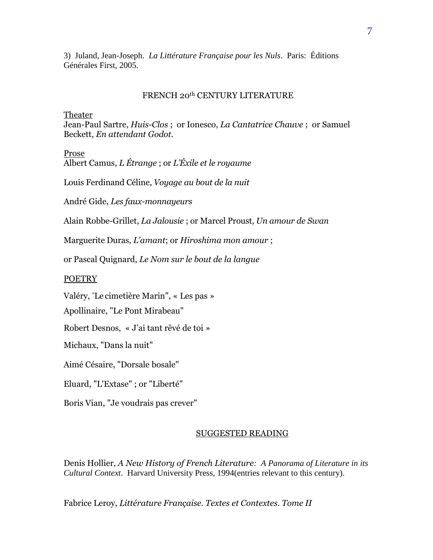3) Juland, Jean-Joseph. *La Littérature Française pour les Nuls*. Paris: Éditions Générales First, 2005.

### FRENCH 20th CENTURY LITERATURE

Theater

Jean-Paul Sartre, *Huis-Clos* ;or Ionesco, *La Cantatrice Chauve* ; or Samuel Beckett, *En attendant Godot.* 

Prose

Albert Camus, *L Étrange* ; or *L'Éxile et le royaume*

Louis Ferdinand Céline, *Voyage au bout de la nuit*

André Gide, *Les faux-monnayeurs*

Alain Robbe-Grillet, *La Jalousie* ; or Marcel Proust, *Un amour de Swan*

Marguerite Duras, *L'amant*; or *Hiroshima mon amour* ;

or Pascal Quignard, *Le Nom sur le bout de la langue*

**POETRY** 

Valéry, "Le cimetière Marin", « Les pas »

Apollinaire, "Le Pont Mirabeau"

Robert Desnos, « J'ai tant rêvé de toi »

Michaux, "Dans la nuit"

Aimé Césaire, "Dorsale bosale"

Eluard, "L'Extase" ; or "Liberté"

Boris Vian, "Je voudrais pas crever"

### SUGGESTED READING

Denis Hollier, *A New History of French Literature: A Panorama of Literature in its Cultural Context*. Harvard University Press, 1994(entries relevant to this century).

Fabrice Leroy, *Littérature Française. Textes et Contextes. Tome II*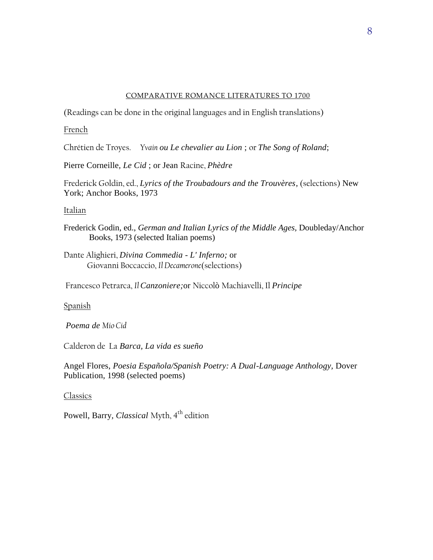#### COMPARATIVE ROMANCE LITERATURES TO 1700

(Readings can be done in the original languages and in English translations)

### French

Chrétien de Troyes. *Yvain ou Le chevalier au Lion* ; or *The Song of Roland*;

Pierre Corneille*, Le Cid* ; or Jean Racine, *Phèdre*

Frederick Goldin, ed., *Lyrics of the Troubadours and the Trouvères*, (selections) New York; Anchor Books, 1973

### Italian

Frederick Godin, ed., *German and Italian Lyrics of the Middle Ages,* Doubleday/Anchor Books, 1973 (selected Italian poems)

Dante Alighieri, *Divina Commedia - L' Inferno;* or Giovanni Boccaccio, *Il Decamerone*(selections)

Francesco Petrarca, *Il Canzoniere;*or Niccolò Machiavelli, Il *Principe* 

#### Spanish

*Poema de Mio Cid*

Calderon de La *Barca, La vida es sueño* 

Angel Flores, *Poesia Española/Spanish Poetry: A Dual-Language Anthology,* Dover Publication, 1998 (selected poems)

#### Classics

Powell, Barry, *Classical* Myth, 4<sup>th</sup> edition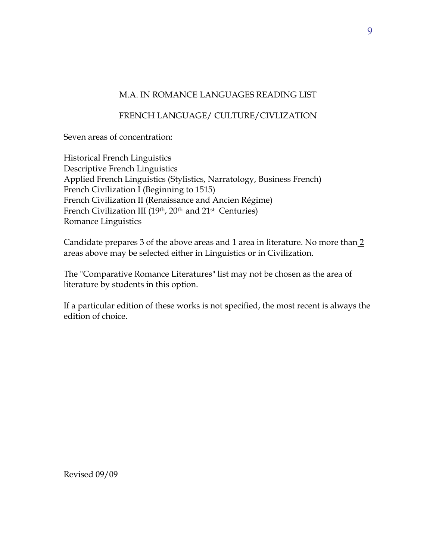# M.A. IN ROMANCE LANGUAGES READING LIST

# FRENCH LANGUAGE/ CULTURE/CIVLIZATION

Seven areas of concentration:

Historical French Linguistics Descriptive French Linguistics Applied French Linguistics (Stylistics, Narratology, Business French) French Civilization I (Beginning to 1515) French Civilization II (Renaissance and Ancien Régime) French Civilization III (19<sup>th</sup>, 20<sup>th</sup> and 21<sup>st</sup> Centuries) Romance Linguistics

Candidate prepares 3 of the above areas and 1 area in literature. No more than 2 areas above may be selected either in Linguistics or in Civilization.

The "Comparative Romance Literatures" list may not be chosen as the area of literature by students in this option.

If a particular edition of these works is not specified, the most recent is always the edition of choice.

Revised 09/09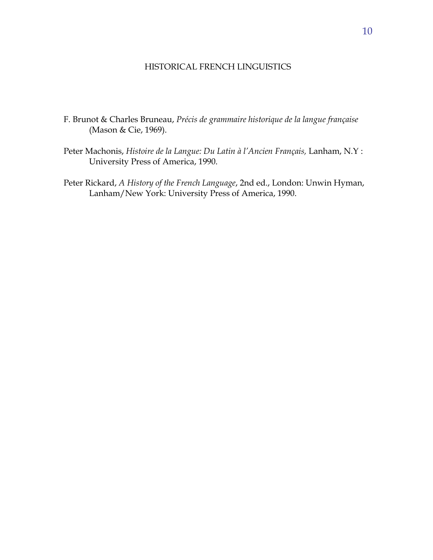# HISTORICAL FRENCH LINGUISTICS

- F. Brunot & Charles Bruneau, *Précis de grammaire historique de la langue française* (Mason & Cie, 1969).
- Peter Machonis, *Histoire de la Langue: Du Latin à l'Ancien Français,* Lanham, N.Y : University Press of America, 1990.
- Peter Rickard, *A History of the French Language*, 2nd ed., London: Unwin Hyman, Lanham/New York: University Press of America, 1990.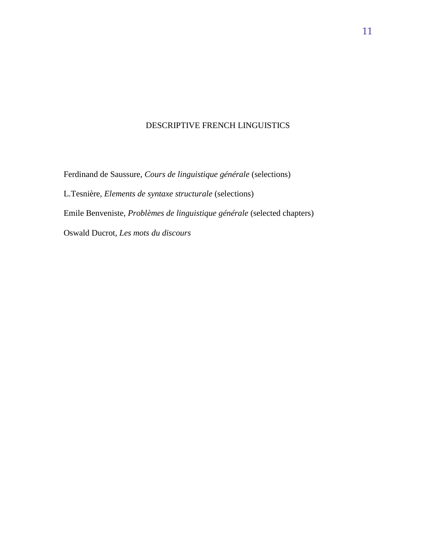# DESCRIPTIVE FRENCH LINGUISTICS

Ferdinand de Saussure, *Cours de linguistique générale* (selections) L.Tesnière, *Elements de syntaxe structurale* (selections) Emile Benveniste, *Problèmes de linguistique générale* (selected chapters) Oswald Ducrot, *Les mots du discours*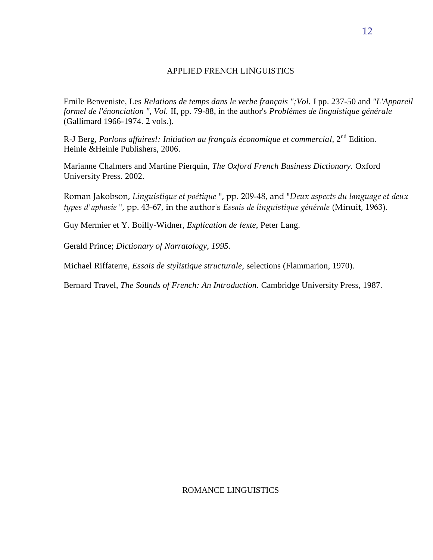### APPLIED FRENCH LINGUISTICS

Emile Benveniste, Les *Relations de temps dans le verbe français ";Vol.* I pp. 237-50 and *"L'Appareil formel de l'énonciation ", Vol.* II, pp. 79-88, in the author's *Problèmes de linguistique générale*  (Gallimard 1966-1974. 2 vols.).

R-J Berg, *Parlons affaires!: Initiation au français économique et commercial,* 2<sup>nd</sup> Edition. Heinle &Heinle Publishers, 2006.

Marianne Chalmers and Martine Pierquin, *The Oxford French Business Dictionary.* Oxford University Press. 2002.

Roman Jakobson, *Linguistique et poétique* ", pp. 209-48, and "*Deux aspects du language et deux types d'aphasie* ", pp. 43-67, in the author's *Essais de linguistique générale* (Minuit, 1963).

Guy Mermier et Y. Boilly-Widner, *Explication de texte,* Peter Lang.

Gerald Prince; *Dictionary of Narratology, 1995.*

Michael Riffaterre, *Essais de stylistique structurale,* selections (Flammarion, 1970).

Bernard Travel, *The Sounds of French: An Introduction.* Cambridge University Press, 1987.

### ROMANCE LINGUISTICS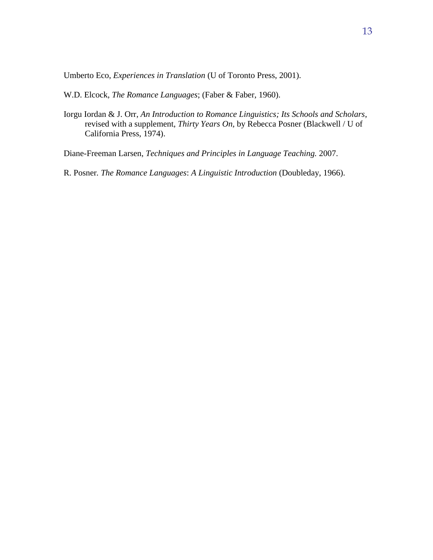Umberto Eco, *Experiences in Translation* (U of Toronto Press, 2001).

W.D. Elcock, *The Romance Languages*; (Faber & Faber, 1960).

Iorgu Iordan & J. Orr, *An Introduction to Romance Linguistics; Its Schools and Scholars*, revised with a supplement, *Thirty Years On,* by Rebecca Posner (Blackwell / U of California Press, 1974).

Diane-Freeman Larsen, *Techniques and Principles in Language Teaching.* 2007.

R. Posner*. The Romance Languages*: *A Linguistic Introduction* (Doubleday, 1966).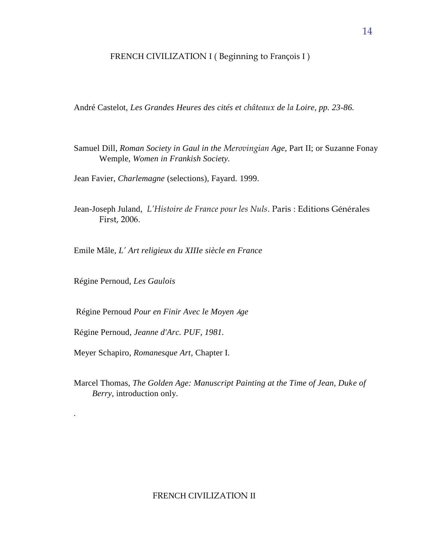### FRENCH CIVILIZATION I (Beginning to François I)

André Castelot, *Les Grandes Heures des cités et châteaux de la Loire, pp. 23-86.*

Samuel Dill, *Roman Society in Gaul in the Merovingian Age,* Part II; or Suzanne Fonay Wemple, *Women in Frankish Society.*

Jean Favier, *Charlemagne* (selections), Fayard. 1999.

Jean-Joseph Juland, *L'Histoire de France pour les Nuls*. Paris : Editions Générales First, 2006.

Emile Mâle, *L' Art religieux du XIIIe siècle en France*

Régine Pernoud, *Les Gaulois*

*.* 

Régine Pernoud *Pour en Finir Avec le Moyen* Â*ge*

Régine Pernoud, *Jeanne d'Arc. PUF, 1981.*

Meyer Schapiro*, Romanesque Art,* Chapter I.

Marcel Thomas, *The Golden Age: Manuscript Painting at the Time of Jean, Duke of Berry,* introduction only.

#### FRENCH CIVILIZATION II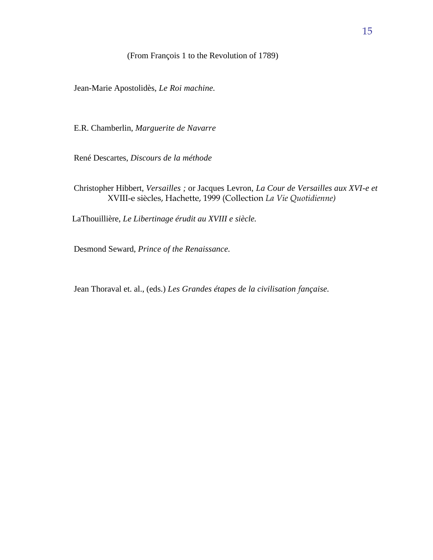(From François 1 to the Revolution of 1789)

Jean-Marie Apostolidès, *Le Roi machine.*

E.R. Chamberlin, *Marguerite de Navarre*

René Descartes, *Discours de la méthode*

Christopher Hibbert, *Versailles ;* or Jacques Levron, *La Cour de Versailles aux XVI-e et* XVIII-e siècles, Hachette, 1999 (Collection *La Vie Quotidienne)*

LaThouillière, *Le Libertinage érudit au XVIII e siècle.*

Desmond Seward, *Prince of the Renaissance.* 

Jean Thoraval et. al., (eds.) *Les Grandes étapes de la civilisation fançaise.*